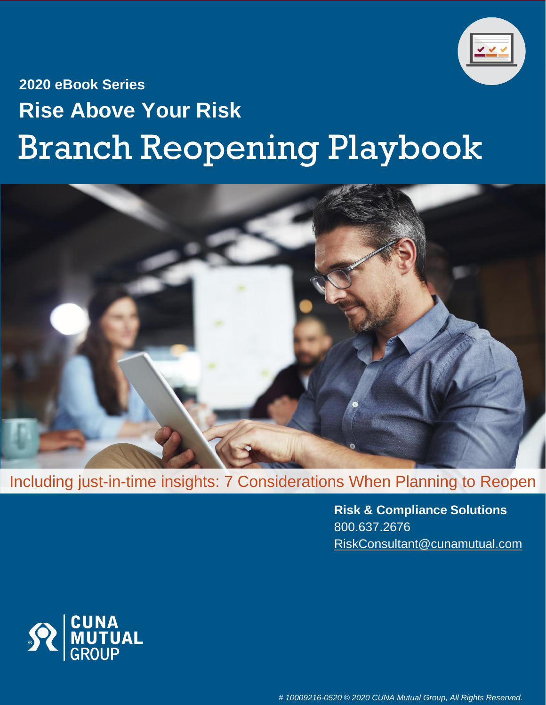

# **2020 eBook Series Rise Above Your Risk** Branch Reopening Playbook



Including just-in-time insights: 7 Considerations When Planning to Reopen

**Risk & Compliance Solutions** 800.637.2676 [RiskConsultant@cunamutual.com](mailto:RiskConsultant@cunamutual.com)

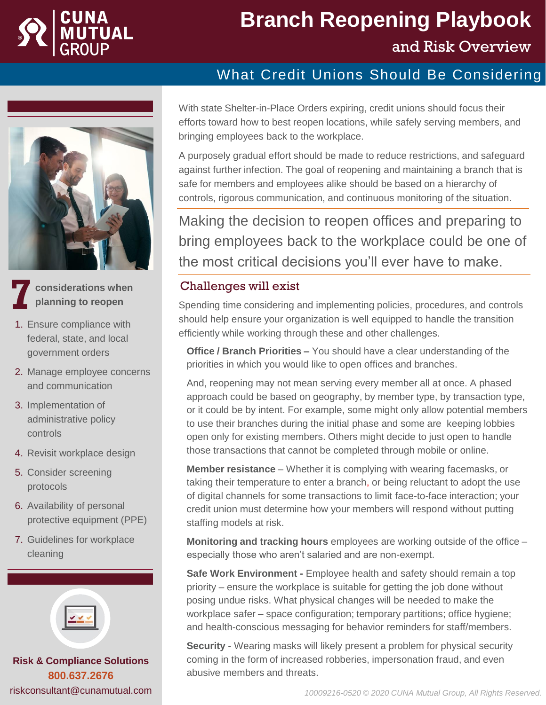

# **Branch Reopening Playbook** and Risk Overview

#### What Credit Unions Should Be Considering



**considerations when planning to reopen**

- 1. Ensure compliance with federal, state, and local government orders
- 2. Manage employee concerns and communication
- 3. Implementation of administrative policy controls
- 4. Revisit workplace design
- 5. Consider screening protocols
- 6. Availability of personal protective equipment (PPE)
- 7. Guidelines for workplace cleaning



**Risk & Compliance Solutions 800.637.2676** riskconsultant@cunamutual.com With state Shelter-in-Place Orders expiring, credit unions should focus their efforts toward how to best reopen locations, while safely serving members, and bringing employees back to the workplace.

A purposely gradual effort should be made to reduce restrictions, and safeguard against further infection. The goal of reopening and maintaining a branch that is safe for members and employees alike should be based on a hierarchy of controls, rigorous communication, and continuous monitoring of the situation.

Making the decision to reopen offices and preparing to bring employees back to the workplace could be one of the most critical decisions you'll ever have to make.

#### Challenges will exist **7**

Spending time considering and implementing policies, procedures, and controls should help ensure your organization is well equipped to handle the transition efficiently while working through these and other challenges.

**Office / Branch Priorities –** You should have a clear understanding of the priorities in which you would like to open offices and branches.

And, reopening may not mean serving every member all at once. A phased approach could be based on geography, by member type, by transaction type, or it could be by intent. For example, some might only allow potential members to use their branches during the initial phase and some are keeping lobbies open only for existing members. Others might decide to just open to handle those transactions that cannot be completed through mobile or online.

**Member resistance** – Whether it is complying with wearing facemasks, or taking their temperature to enter a branch, or being reluctant to adopt the use of digital channels for some transactions to limit face-to-face interaction; your credit union must determine how your members will respond without putting staffing models at risk.

**Monitoring and tracking hours** employees are working outside of the office – especially those who aren't salaried and are non-exempt.

**Safe Work Environment -** Employee health and safety should remain a top priority – ensure the workplace is suitable for getting the job done without posing undue risks. What physical changes will be needed to make the workplace safer – space configuration; temporary partitions; office hygiene; and health-conscious messaging for behavior reminders for staff/members.

**Security** - Wearing masks will likely present a problem for physical security coming in the form of increased robberies, impersonation fraud, and even abusive members and threats.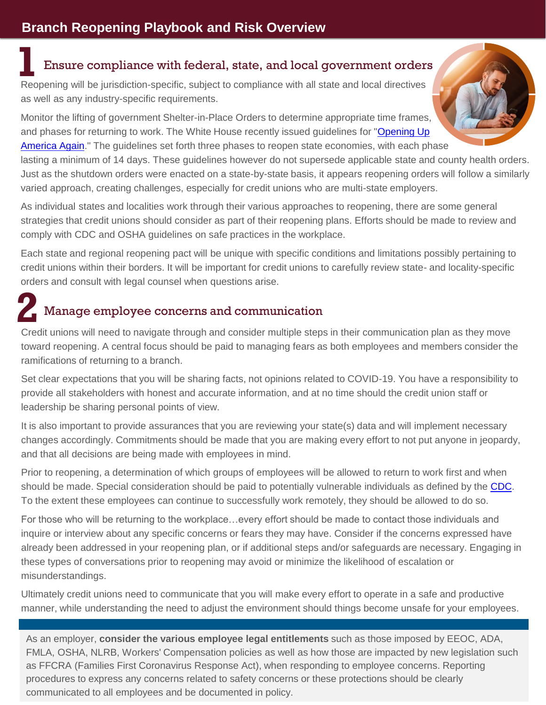## Ensure compliance with federal, state, and local government orders **1**

Reopening will be jurisdiction-specific, subject to compliance with all state and local directives as well as any industry-specific requirements.

Monitor the lifting of government Shelter-in-Place Orders to determine appropriate time frames, and phases for returning to work. The White House recently issued guidelines for "Opening Up [America Again." The guidelines set forth three phases to reopen state economies, with each ph](https://www.whitehouse.gov/openingamerica/)ase

lasting a minimum of 14 days. These guidelines however do not supersede applicable state and county health orders. Just as the shutdown orders were enacted on a state-by-state basis, it appears reopening orders will follow a similarly varied approach, creating challenges, especially for credit unions who are multi-state employers.

As individual states and localities work through their various approaches to reopening, there are some general strategies that credit unions should consider as part of their reopening plans. Efforts should be made to review and comply with CDC and OSHA guidelines on safe practices in the workplace.

Each state and regional reopening pact will be unique with specific conditions and limitations possibly pertaining to credit unions within their borders. It will be important for credit unions to carefully review state- and locality-specific orders and consult with legal counsel when questions arise.

## Manage employee concerns and communication **2**

Credit unions will need to navigate through and consider multiple steps in their communication plan as they move toward reopening. A central focus should be paid to managing fears as both employees and members consider the ramifications of returning to a branch.

Set clear expectations that you will be sharing facts, not opinions related to COVID-19. You have a responsibility to provide all stakeholders with honest and accurate information, and at no time should the credit union staff or leadership be sharing personal points of view.

It is also important to provide assurances that you are reviewing your state(s) data and will implement necessary changes accordingly. Commitments should be made that you are making every effort to not put anyone in jeopardy, and that all decisions are being made with employees in mind.

Prior to reopening, a determination of which groups of employees will be allowed to return to work first and when should be made. Special consideration should be paid to potentially vulnerable individuals as defined by the [CDC](https://www.cdc.gov/coronavirus/2019-ncov/need-extra-precautions/index.html). To the extent these employees can continue to successfully work remotely, they should be allowed to do so.

For those who will be returning to the workplace…every effort should be made to contact those individuals and inquire or interview about any specific concerns or fears they may have. Consider if the concerns expressed have already been addressed in your reopening plan, or if additional steps and/or safeguards are necessary. Engaging in these types of conversations prior to reopening may avoid or minimize the likelihood of escalation or misunderstandings.

Ultimately credit unions need to communicate that you will make every effort to operate in a safe and productive manner, while understanding the need to adjust the environment should things become unsafe for your employees.

As an employer, **consider the various employee legal entitlements** such as those imposed by EEOC, ADA, FMLA, OSHA, NLRB, Workers' Compensation policies as well as how those are impacted by new legislation such as FFCRA (Families First Coronavirus Response Act), when responding to employee concerns. Reporting procedures to express any concerns related to safety concerns or these protections should be clearly communicated to all employees and be documented in policy.

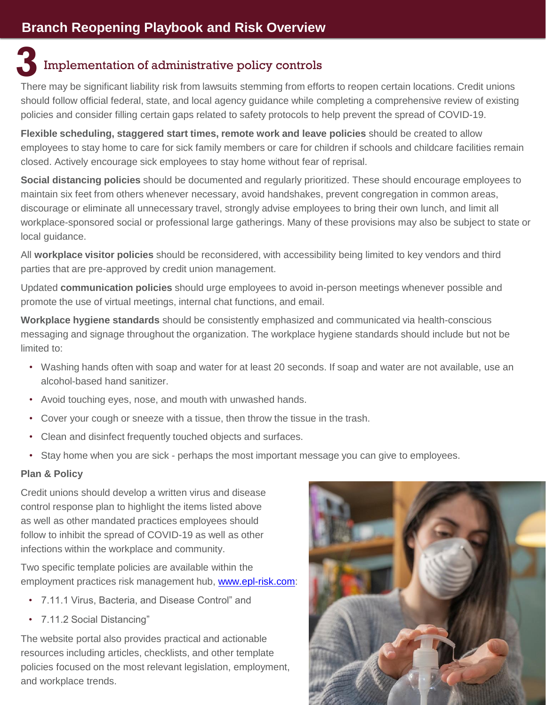## Implementation of administrative policy controls **3**

There may be significant liability risk from lawsuits stemming from efforts to reopen certain locations. Credit unions should follow official federal, state, and local agency guidance while completing a comprehensive review of existing policies and consider filling certain gaps related to safety protocols to help prevent the spread of COVID-19.

**Flexible scheduling, staggered start times, remote work and leave policies** should be created to allow employees to stay home to care for sick family members or care for children if schools and childcare facilities remain closed. Actively encourage sick employees to stay home without fear of reprisal.

**Social distancing policies** should be documented and regularly prioritized. These should encourage employees to maintain six feet from others whenever necessary, avoid handshakes, prevent congregation in common areas, discourage or eliminate all unnecessary travel, strongly advise employees to bring their own lunch, and limit all workplace-sponsored social or professional large gatherings. Many of these provisions may also be subject to state or local guidance.

All **workplace visitor policies** should be reconsidered, with accessibility being limited to key vendors and third parties that are pre-approved by credit union management.

Updated **communication policies** should urge employees to avoid in-person meetings whenever possible and promote the use of virtual meetings, internal chat functions, and email.

**Workplace hygiene standards** should be consistently emphasized and communicated via health-conscious messaging and signage throughout the organization. The workplace hygiene standards should include but not be limited to:

- Washing hands often with soap and water for at least 20 seconds. If soap and water are not available, use an alcohol-based hand sanitizer.
- Avoid touching eyes, nose, and mouth with unwashed hands.
- Cover your cough or sneeze with a tissue, then throw the tissue in the trash.
- Clean and disinfect frequently touched objects and surfaces.
- Stay home when you are sick perhaps the most important message you can give to employees.

#### **Plan & Policy**

Credit unions should develop a written virus and disease control response plan to highlight the items listed above as well as other mandated practices employees should follow to inhibit the spread of COVID-19 as well as other infections within the workplace and community.

Two specific template policies are available within the employment practices risk management hub, [www.epl-risk.com:](http://www.epl-risk.com/)

- 7.11.1 Virus, Bacteria, and Disease Control" and
- 7.11.2 Social Distancing"

The website portal also provides practical and actionable resources including articles, checklists, and other template policies focused on the most relevant legislation, employment, and workplace trends.

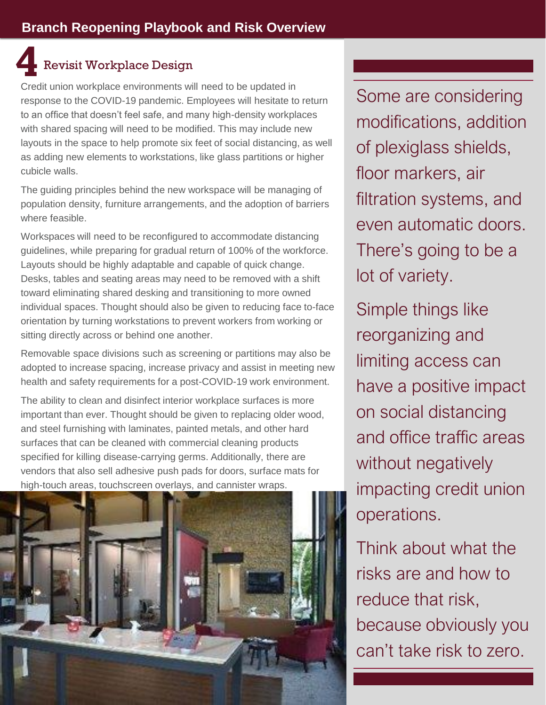## Revisit Workplace Design **4**

Credit union workplace environments will need to be updated in response to the COVID-19 pandemic. Employees will hesitate to return to an office that doesn't feel safe, and many high-density workplaces with shared spacing will need to be modified. This may include new layouts in the space to help promote six feet of social distancing, as well as adding new elements to workstations, like glass partitions or higher cubicle walls.

The guiding principles behind the new workspace will be managing of population density, furniture arrangements, and the adoption of barriers where feasible.

Workspaces will need to be reconfigured to accommodate distancing guidelines, while preparing for gradual return of 100% of the workforce. Layouts should be highly adaptable and capable of quick change. Desks, tables and seating areas may need to be removed with a shift toward eliminating shared desking and transitioning to more owned individual spaces. Thought should also be given to reducing face to-face orientation by turning workstations to prevent workers from working or sitting directly across or behind one another.

Removable space divisions such as screening or partitions may also be adopted to increase spacing, increase privacy and assist in meeting new health and safety requirements for a post-COVID-19 work environment.

The ability to clean and disinfect interior workplace surfaces is more important than ever. Thought should be given to replacing older wood, and steel furnishing with laminates, painted metals, and other hard surfaces that can be cleaned with commercial cleaning products specified for killing disease-carrying germs. Additionally, there are vendors that also sell adhesive push pads for doors, surface mats for high-touch areas, touchscreen overlays, and cannister wraps.



Some are considering modifications, addition of plexiglass shields, floor markers, air filtration systems, and even automatic doors. There's going to be a lot of variety.

Simple things like reorganizing and limiting access can have a positive impact on social distancing and office traffic areas without negatively impacting credit union operations.

Think about what the risks are and how to reduce that risk, because obviously you can't take risk to zero.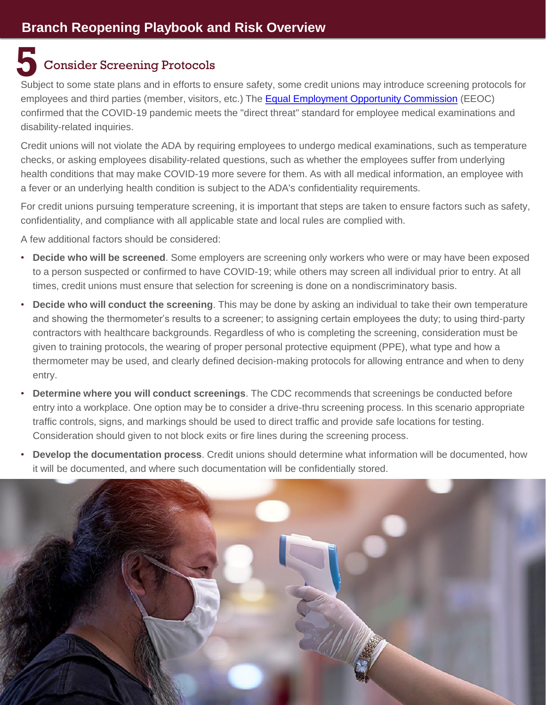### **5** Consider Screening Protocols

Subject to some state plans and in efforts to ensure safety, some credit unions may introduce screening protocols for employees and third parties (member, visitors, etc.) The [Equal Employment Opportunity Commission](https://www.eeoc.gov/laws/guidance/pandemic-preparedness-workplace-and-americans-disabilities-act?amp%3Bamp%3Bamp%3Bamp=) (EEOC) confirmed that the COVID-19 pandemic meets the "direct threat" standard for employee medical examinations and disability-related inquiries.

Credit unions will not violate the ADA by requiring employees to undergo medical examinations, such as temperature checks, or asking employees disability-related questions, such as whether the employees suffer from underlying health conditions that may make COVID-19 more severe for them. As with all medical information, an employee with a fever or an underlying health condition is subject to the ADA's confidentiality requirements.

For credit unions pursuing temperature screening, it is important that steps are taken to ensure factors such as safety, confidentiality, and compliance with all applicable state and local rules are complied with.

A few additional factors should be considered:

- **Decide who will be screened**. Some employers are screening only workers who were or may have been exposed to a person suspected or confirmed to have COVID-19; while others may screen all individual prior to entry. At all times, credit unions must ensure that selection for screening is done on a nondiscriminatory basis.
- **Decide who will conduct the screening**. This may be done by asking an individual to take their own temperature and showing the thermometer's results to a screener; to assigning certain employees the duty; to using third-party contractors with healthcare backgrounds. Regardless of who is completing the screening, consideration must be given to training protocols, the wearing of proper personal protective equipment (PPE), what type and how a thermometer may be used, and clearly defined decision-making protocols for allowing entrance and when to deny entry.
- **Determine where you will conduct screenings**. The CDC recommends that screenings be conducted before entry into a workplace. One option may be to consider a drive-thru screening process. In this scenario appropriate traffic controls, signs, and markings should be used to direct traffic and provide safe locations for testing. Consideration should given to not block exits or fire lines during the screening process.
- **Develop the documentation process**. Credit unions should determine what information will be documented, how it will be documented, and where such documentation will be confidentially stored.

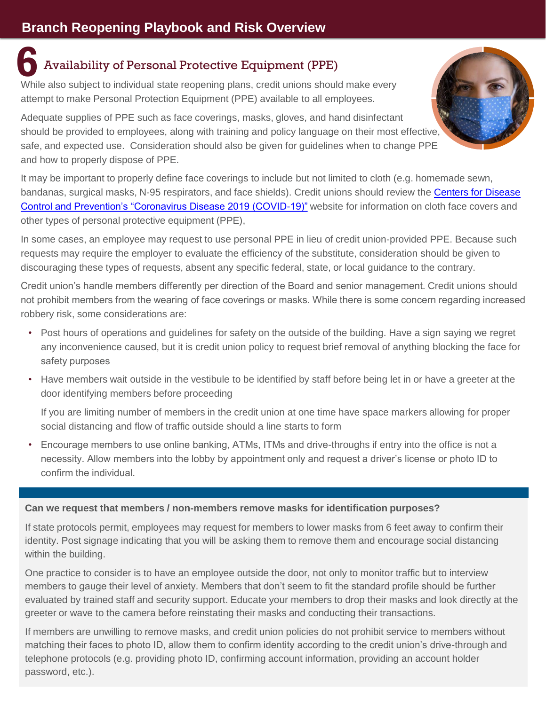## **6** Availability of Personal Protective Equipment (PPE)

While also subject to individual state reopening plans, credit unions should make every attempt to make Personal Protection Equipment (PPE) available to all employees.

Adequate supplies of PPE such as face coverings, masks, gloves, and hand disinfectant should be provided to employees, along with training and policy language on their most effective, safe, and expected use. Consideration should also be given for guidelines when to change PPE and how to properly dispose of PPE.

It may be important to properly define face coverings to include but not limited to cloth (e.g. homemade sewn, [bandanas, surgical masks, N-95 respirators, and face shields\). Credit unions should review the Centers for Disease](https://www.cdc.gov/coronavirus/2019-ncov/prevent-getting-sick/diy-cloth-face-coverings.html)  Control and Prevention's "Coronavirus Disease 2019 (COVID-19)" website for information on cloth face covers and other types of personal protective equipment (PPE),

In some cases, an employee may request to use personal PPE in lieu of credit union-provided PPE. Because such requests may require the employer to evaluate the efficiency of the substitute, consideration should be given to discouraging these types of requests, absent any specific federal, state, or local guidance to the contrary.

Credit union's handle members differently per direction of the Board and senior management. Credit unions should not prohibit members from the wearing of face coverings or masks. While there is some concern regarding increased robbery risk, some considerations are:

- Post hours of operations and guidelines for safety on the outside of the building. Have a sign saying we regret any inconvenience caused, but it is credit union policy to request brief removal of anything blocking the face for safety purposes
- Have members wait outside in the vestibule to be identified by staff before being let in or have a greeter at the door identifying members before proceeding

If you are limiting number of members in the credit union at one time have space markers allowing for proper social distancing and flow of traffic outside should a line starts to form

• Encourage members to use online banking, ATMs, ITMs and drive-throughs if entry into the office is not a necessity. Allow members into the lobby by appointment only and request a driver's license or photo ID to confirm the individual.

#### **Can we request that members / non-members remove masks for identification purposes?**

If state protocols permit, employees may request for members to lower masks from 6 feet away to confirm their identity. Post signage indicating that you will be asking them to remove them and encourage social distancing within the building.

One practice to consider is to have an employee outside the door, not only to monitor traffic but to interview members to gauge their level of anxiety. Members that don't seem to fit the standard profile should be further evaluated by trained staff and security support. Educate your members to drop their masks and look directly at the greeter or wave to the camera before reinstating their masks and conducting their transactions.

If members are unwilling to remove masks, and credit union policies do not prohibit service to members without matching their faces to photo ID, allow them to confirm identity according to the credit union's drive-through and telephone protocols (e.g. providing photo ID, confirming account information, providing an account holder password, etc.).